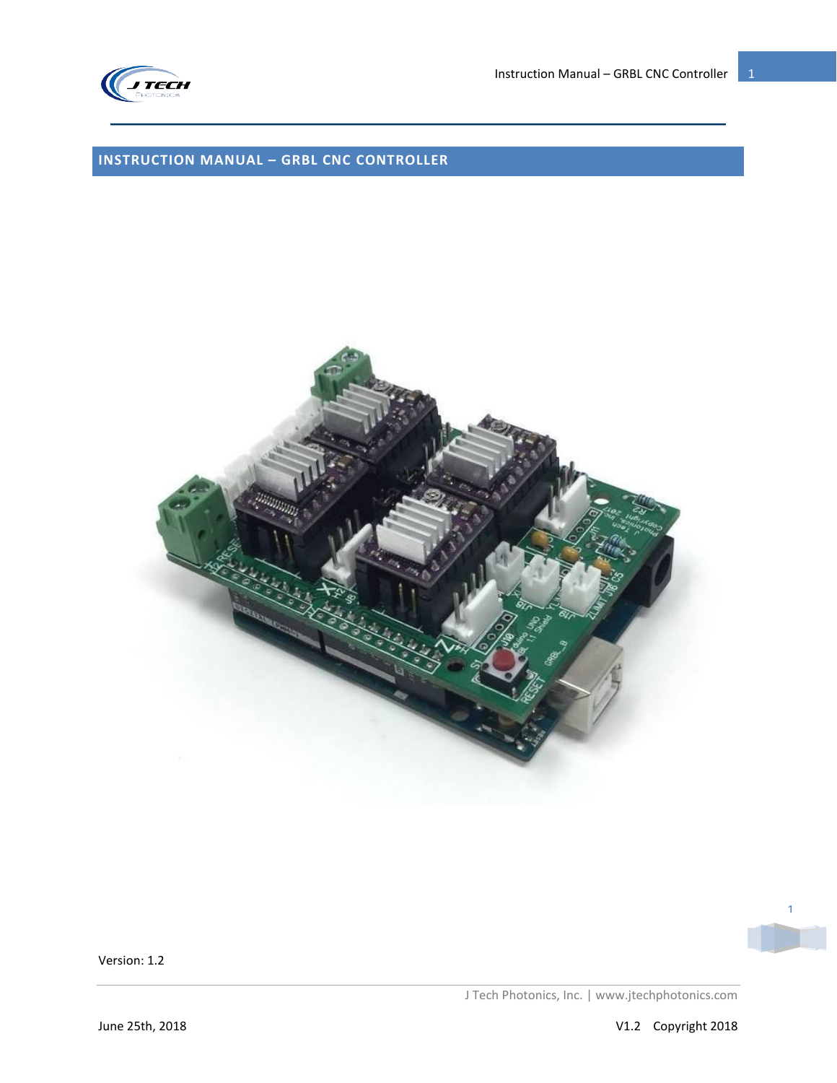

Instruction Manual – GRBL CNC Controller  $\begin{array}{|c|c|} \hline \end{array}$  1

# <span id="page-0-0"></span>**INSTRUCTION MANUAL – GRBL CNC CONTROLLER**



1

Version: 1.2

J Tech Photonics, Inc. | www.jtechphotonics.com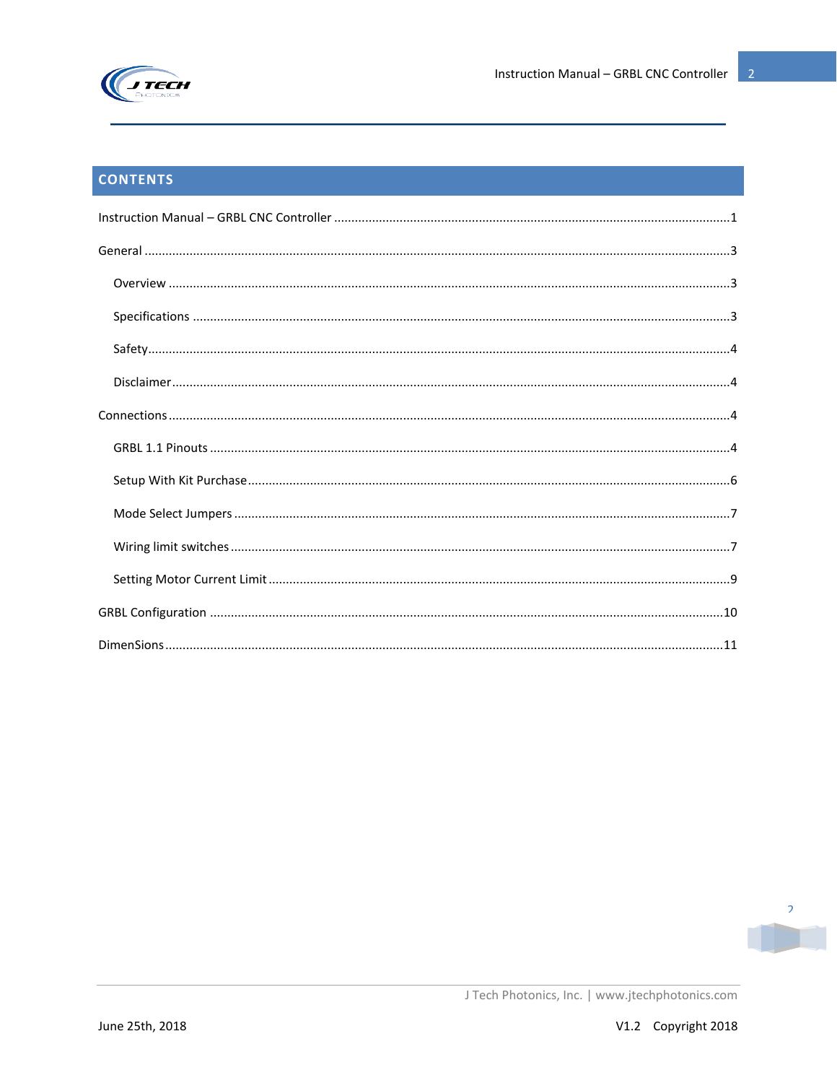

# **CONTENTS**

| $\textbf{Specifications} \textit{} \textit{} \textit{} \textit{} \textit{} \textit{} \textit{} \textit{} \textit{} \textit{} \textit{} \textit{} \textit{} \textit{} \textit{} \textit{} \textit{} \textit{} \textit{} \textit{} \textit{} \textit{} \textit{} \textit{} \textit{} \textit{} \textit{} \textit{} \textit{} \textit{} \textit{} \textit{} \textit{} \textit{} \textit{} \textit$ |
|-------------------------------------------------------------------------------------------------------------------------------------------------------------------------------------------------------------------------------------------------------------------------------------------------------------------------------------------------------------------------------------------------|
|                                                                                                                                                                                                                                                                                                                                                                                                 |
|                                                                                                                                                                                                                                                                                                                                                                                                 |
|                                                                                                                                                                                                                                                                                                                                                                                                 |
|                                                                                                                                                                                                                                                                                                                                                                                                 |
|                                                                                                                                                                                                                                                                                                                                                                                                 |
|                                                                                                                                                                                                                                                                                                                                                                                                 |
|                                                                                                                                                                                                                                                                                                                                                                                                 |
|                                                                                                                                                                                                                                                                                                                                                                                                 |
|                                                                                                                                                                                                                                                                                                                                                                                                 |
|                                                                                                                                                                                                                                                                                                                                                                                                 |

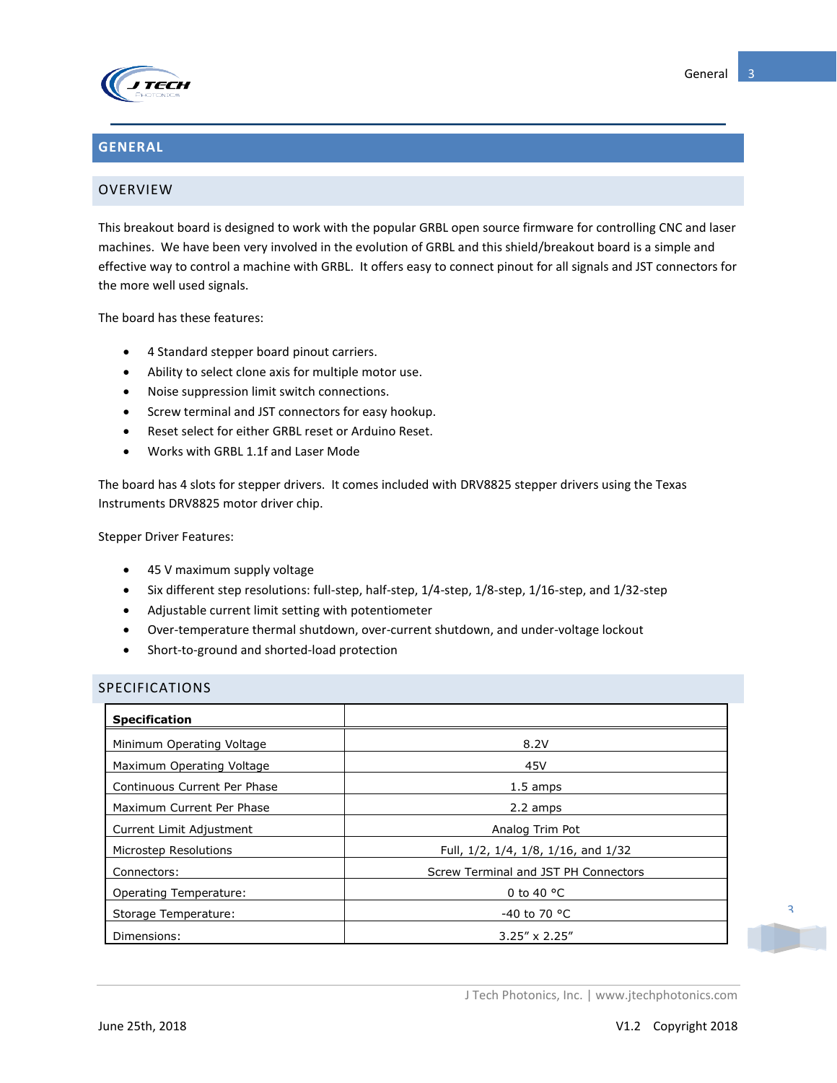

### <span id="page-2-0"></span>**GENERAL**

#### <span id="page-2-1"></span>OVERVIEW

This breakout board is designed to work with the popular GRBL open source firmware for controlling CNC and laser machines. We have been very involved in the evolution of GRBL and this shield/breakout board is a simple and effective way to control a machine with GRBL. It offers easy to connect pinout for all signals and JST connectors for the more well used signals.

The board has these features:

- 4 Standard stepper board pinout carriers.
- Ability to select clone axis for multiple motor use.
- Noise suppression limit switch connections.
- Screw terminal and JST connectors for easy hookup.
- Reset select for either GRBL reset or Arduino Reset.
- Works with GRBL 1.1f and Laser Mode

The board has 4 slots for stepper drivers. It comes included with DRV8825 stepper drivers using the Texas Instruments DRV8825 motor driver chip.

Stepper Driver Features:

- 45 V maximum supply voltage
- Six different step resolutions: full-step, half-step, 1/4-step, 1/8-step, 1/16-step, and 1/32-step
- Adjustable current limit setting with potentiometer
- Over-temperature thermal shutdown, over-current shutdown, and under-voltage lockout
- Short-to-ground and shorted-load protection

#### <span id="page-2-2"></span>SPECIFICATIONS

| <b>Specification</b>         |                                      |
|------------------------------|--------------------------------------|
| Minimum Operating Voltage    | 8.2V                                 |
| Maximum Operating Voltage    | 45V                                  |
| Continuous Current Per Phase | 1.5 amps                             |
| Maximum Current Per Phase    | 2.2 amps                             |
| Current Limit Adjustment     | Analog Trim Pot                      |
| Microstep Resolutions        | Full, 1/2, 1/4, 1/8, 1/16, and 1/32  |
| Connectors:                  | Screw Terminal and JST PH Connectors |
| Operating Temperature:       | 0 to 40 $^{\circ}$ C                 |
| Storage Temperature:         | $-40$ to 70 °C                       |
| Dimensions:                  | $3.25'' \times 2.25''$               |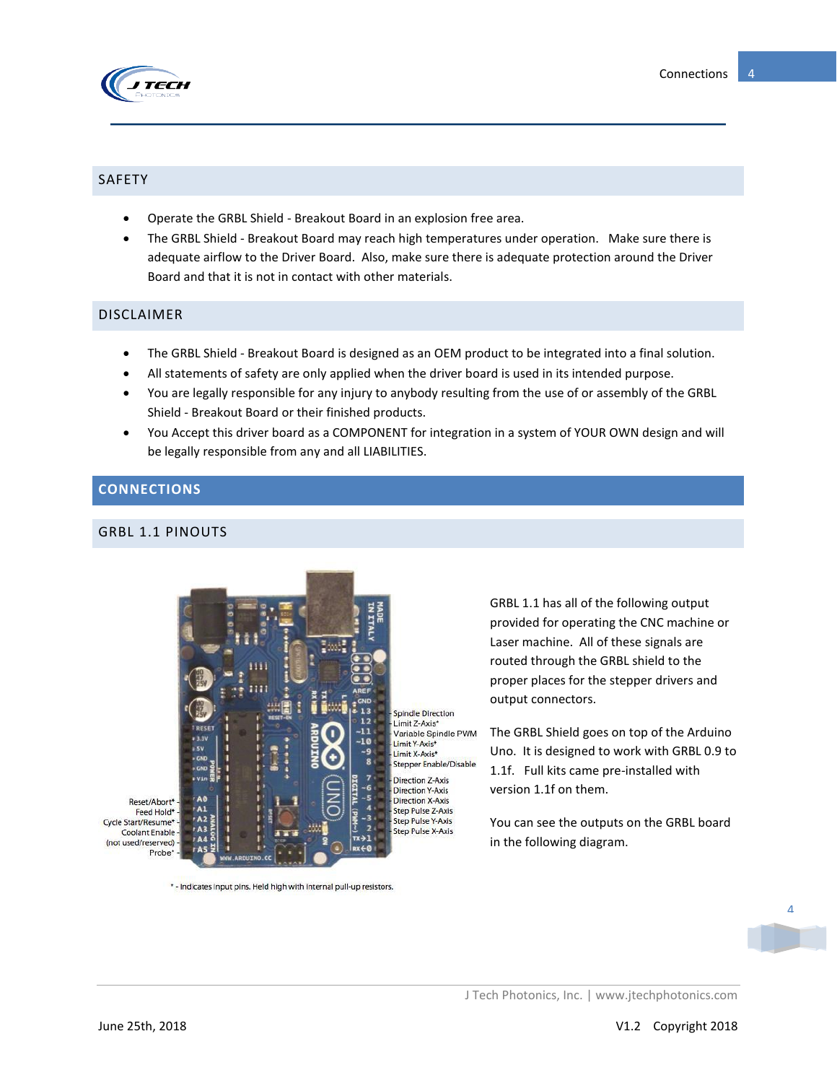

### <span id="page-3-0"></span>SAFETY

- Operate the GRBL Shield Breakout Board in an explosion free area.
- The GRBL Shield Breakout Board may reach high temperatures under operation. Make sure there is adequate airflow to the Driver Board. Also, make sure there is adequate protection around the Driver Board and that it is not in contact with other materials.

#### <span id="page-3-1"></span>DISCLAIMER

- The GRBL Shield Breakout Board is designed as an OEM product to be integrated into a final solution.
- All statements of safety are only applied when the driver board is used in its intended purpose.
- You are legally responsible for any injury to anybody resulting from the use of or assembly of the GRBL Shield - Breakout Board or their finished products.
- You Accept this driver board as a COMPONENT for integration in a system of YOUR OWN design and will be legally responsible from any and all LIABILITIES.

### <span id="page-3-2"></span>**CONNECTIONS**

### <span id="page-3-3"></span>GRBL 1.1 PINOUTS



Laser machine. All of these signals are routed through the GRBL shield to the proper places for the stepper drivers and output connectors.

GRBL 1.1 has all of the following output provided for operating the CNC machine or

The GRBL Shield goes on top of the Arduino Uno. It is designed to work with GRBL 0.9 to 1.1f. Full kits came pre-installed with version 1.1f on them.

You can see the outputs on the GRBL board in the following diagram.

Reset/Abort\* Feed Hold\* -Cycle Start/Resume\* **Coolant Enable** (not used/reserved) Probe

\*- Indicates input pins. Held high with internal pull-up resistors.

 $\overline{A}$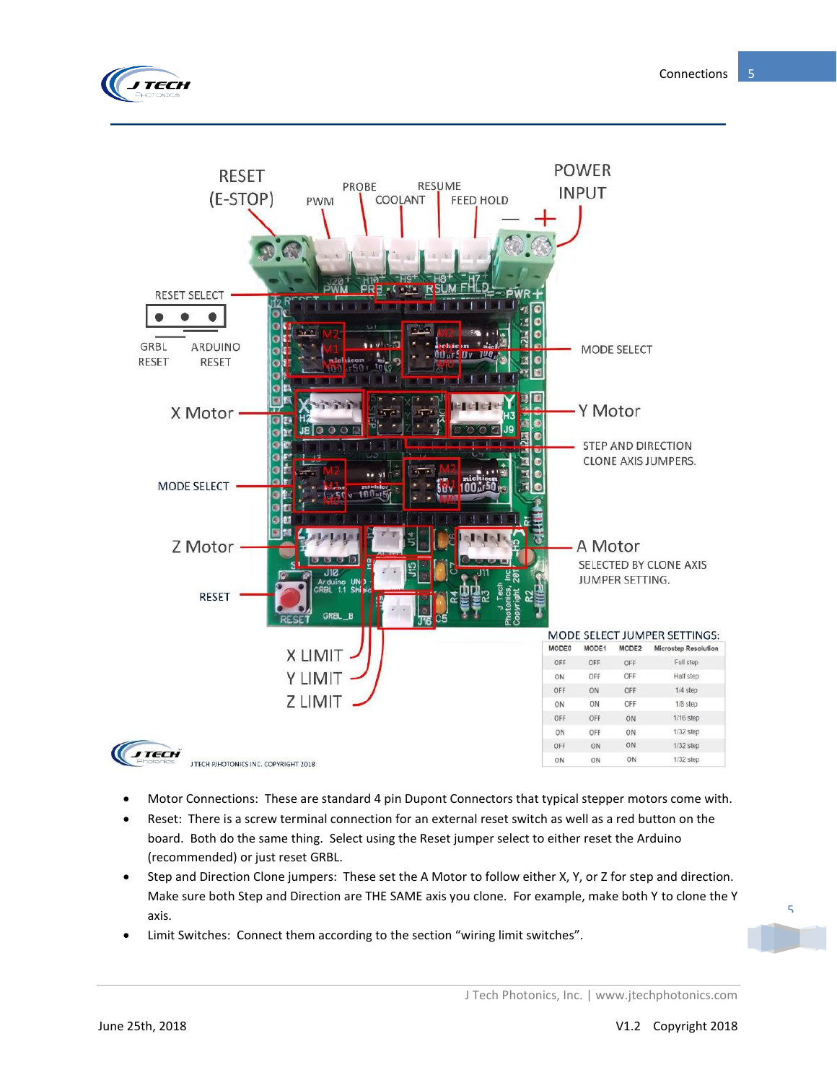



- Motor Connections: These are standard 4 pin Dupont Connectors that typical stepper motors come with.
- Reset: There is a screw terminal connection for an external reset switch as well as a red button on the board. Both do the same thing. Select using the Reset jumper select to either reset the Arduino (recommended) or just reset GRBL.
- Step and Direction Clone jumpers: These set the A Motor to follow either X, Y, or Z for step and direction. Make sure both Step and Direction are THE SAME axis you clone. For example, make both Y to clone the Y axis.
- Limit Switches: Connect them according to the section "wiring limit switches".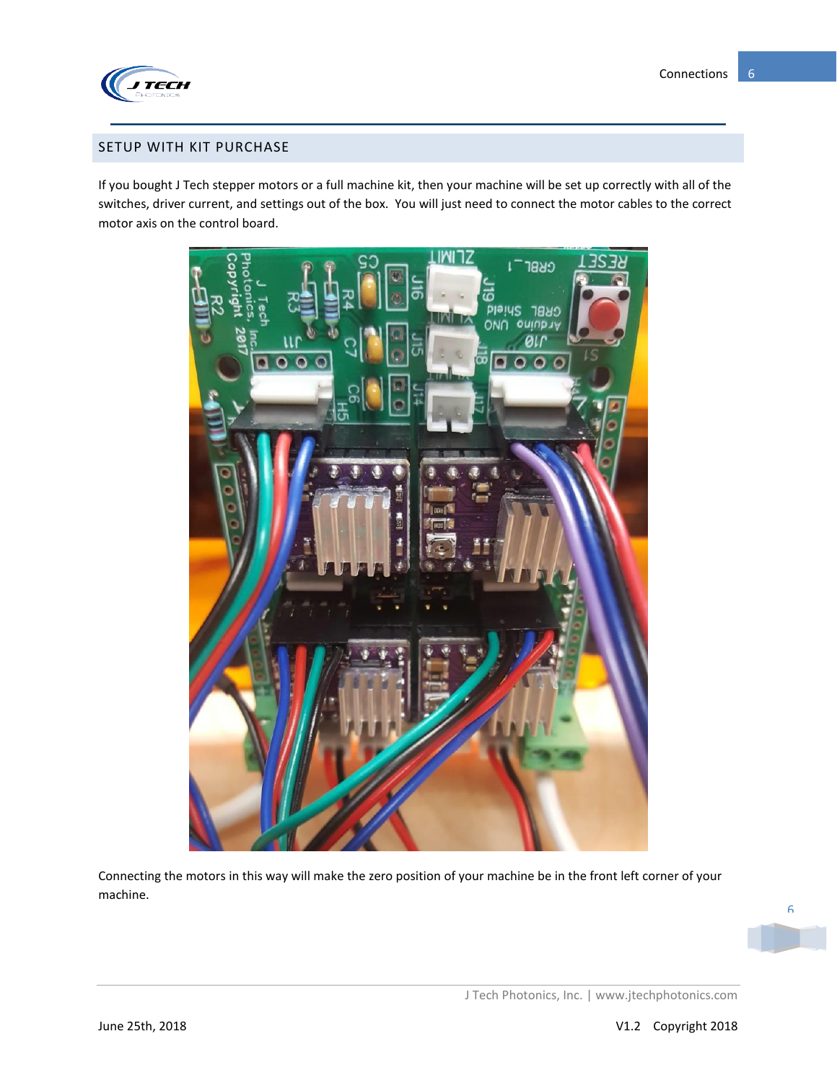

#### <span id="page-5-0"></span>SETUP WITH KIT PURCHASE

If you bought J Tech stepper motors or a full machine kit, then your machine will be set up correctly with all of the switches, driver current, and settings out of the box. You will just need to connect the motor cables to the correct motor axis on the control board.



Connecting the motors in this way will make the zero position of your machine be in the front left corner of your machine.

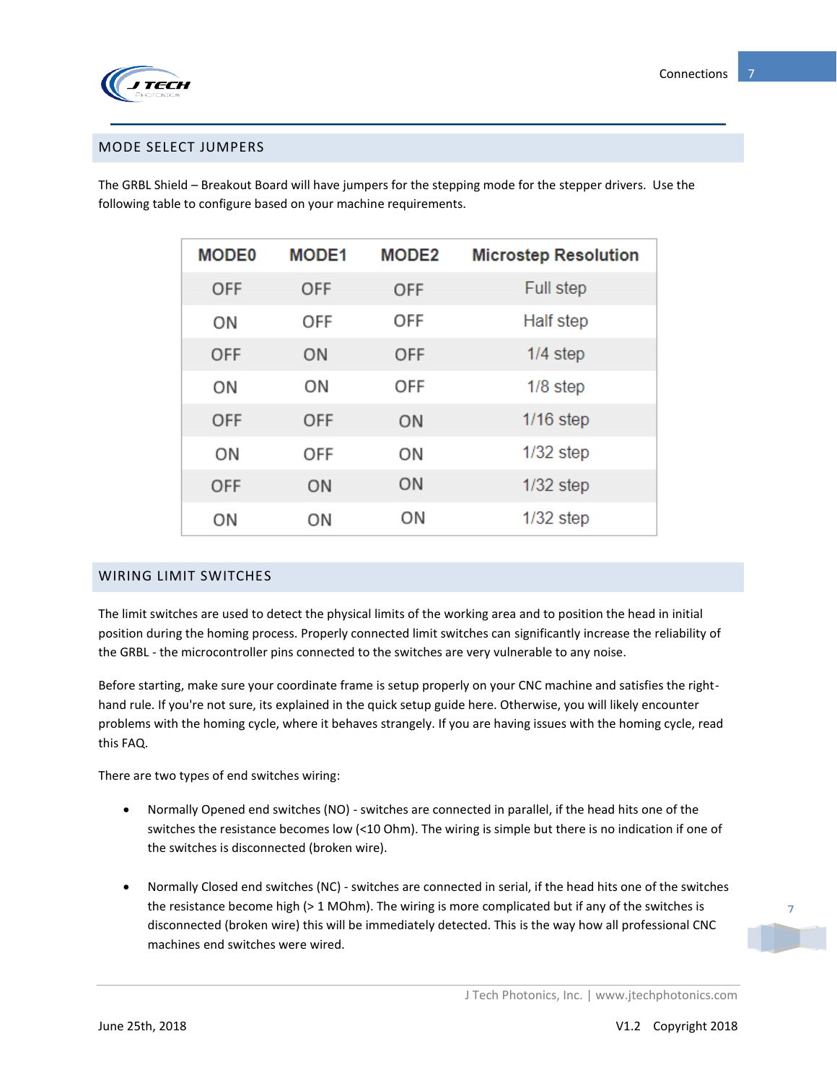

#### <span id="page-6-0"></span>MODE SELECT JUMPERS

The GRBL Shield – Breakout Board will have jumpers for the stepping mode for the stepper drivers. Use the following table to configure based on your machine requirements.

| <b>MODE0</b> | <b>MODE1</b> | <b>MODE2</b> | <b>Microstep Resolution</b> |
|--------------|--------------|--------------|-----------------------------|
| OFF          | OFF          | OFF          | <b>Full step</b>            |
| ON           | OFF          | OFF          | Half step                   |
| OFF          | ON           | OFF          | $1/4$ step                  |
| ON           | ON           | OFF          | $1/8$ step                  |
| OFF          | OFF          | ON           | $1/16$ step                 |
| ON           | OFF          | ON           | $1/32$ step                 |
| OFF          | ON           | ON           | $1/32$ step                 |
| ON           | ON           | ON           | $1/32$ step                 |

### <span id="page-6-1"></span>WIRING LIMIT SWITCHES

The limit switches are used to detect the physical limits of the working area and to position the head in initial position during the homing process. Properly connected limit switches can significantly increase the reliability of the GRBL - the microcontroller pins connected to the switches are very vulnerable to any noise.

Before starting, make sure your coordinate frame is setup properly on your CNC machine and satisfies the righthand rule. If you're not sure, its explained in the quick setup guide here. Otherwise, you will likely encounter problems with the homing cycle, where it behaves strangely. If you are having issues with the homing cycle, read this FAQ.

There are two types of end switches wiring:

- Normally Opened end switches (NO) switches are connected in parallel, if the head hits one of the switches the resistance becomes low (<10 Ohm). The wiring is simple but there is no indication if one of the switches is disconnected (broken wire).
- Normally Closed end switches (NC) switches are connected in serial, if the head hits one of the switches the resistance become high (> 1 MOhm). The wiring is more complicated but if any of the switches is disconnected (broken wire) this will be immediately detected. This is the way how all professional CNC machines end switches were wired.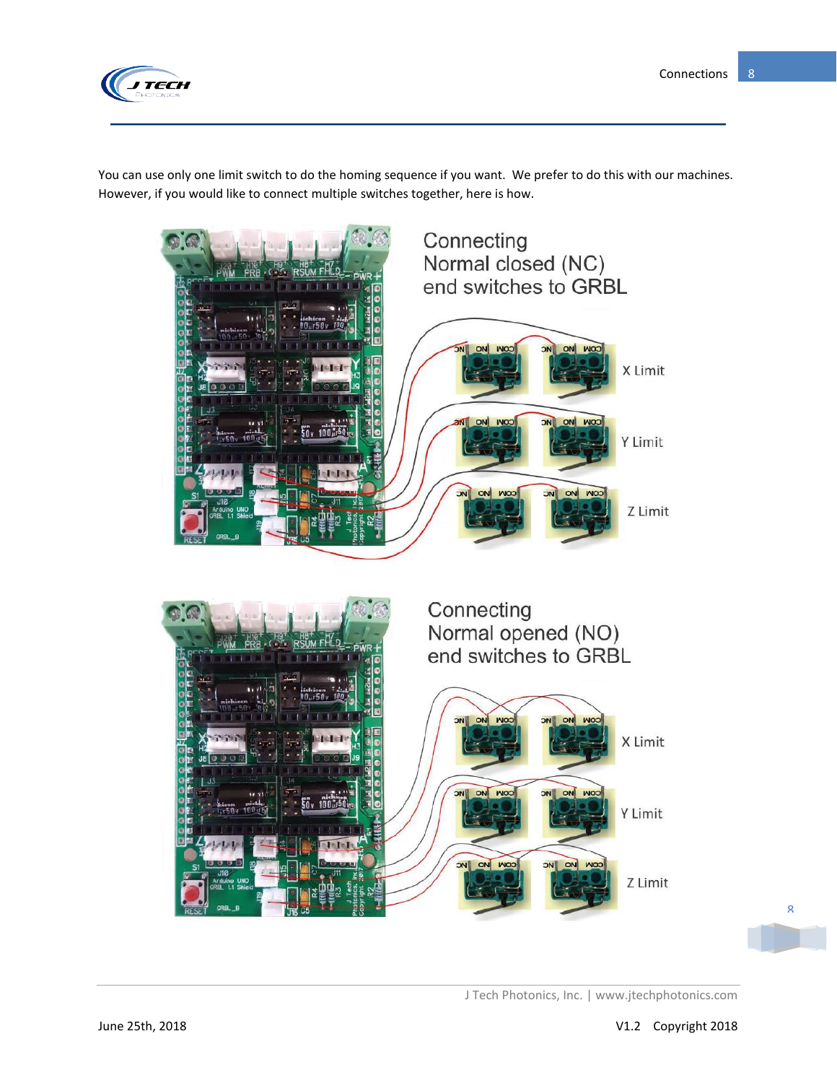

You can use only one limit switch to do the homing sequence if you want. We prefer to do this with our machines. However, if you would like to connect multiple switches together, here is how.

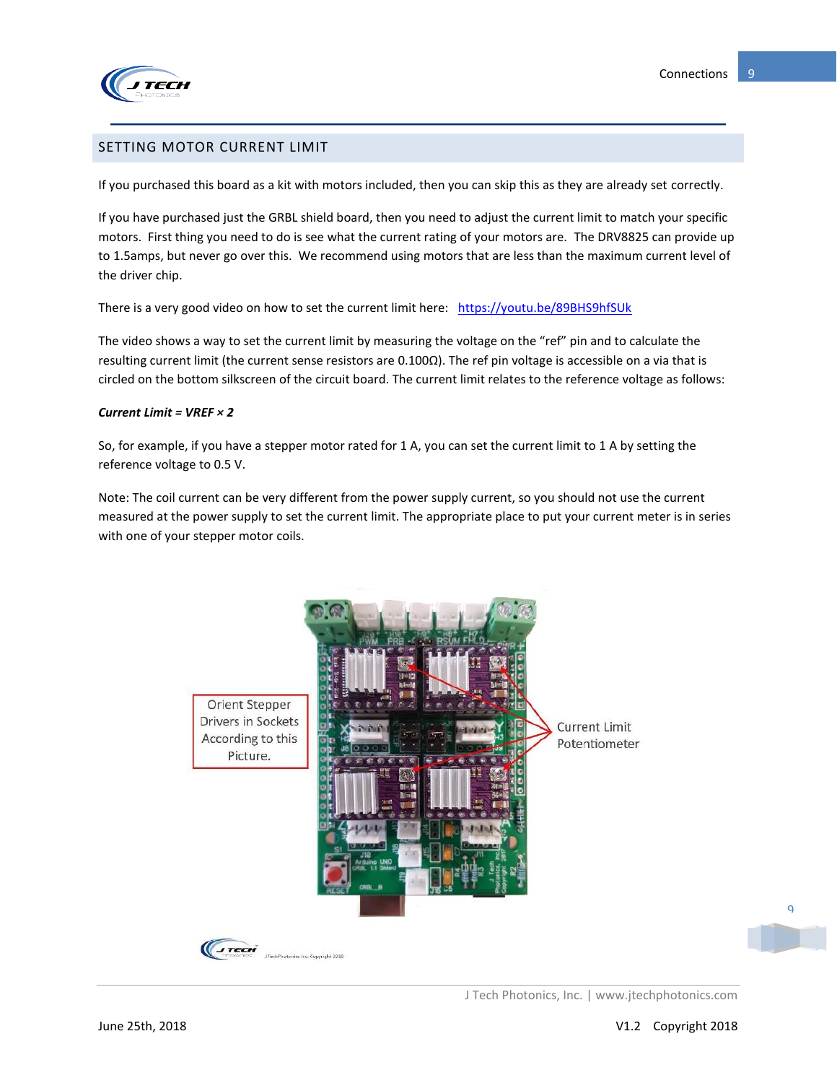

#### <span id="page-8-0"></span>SETTING MOTOR CURRENT LIMIT

If you purchased this board as a kit with motors included, then you can skip this as they are already set correctly.

If you have purchased just the GRBL shield board, then you need to adjust the current limit to match your specific motors. First thing you need to do is see what the current rating of your motors are. The DRV8825 can provide up to 1.5amps, but never go over this. We recommend using motors that are less than the maximum current level of the driver chip.

There is a very good video on how to set the current limit here: <https://youtu.be/89BHS9hfSUk>

The video shows a way to set the current limit by measuring the voltage on the "ref" pin and to calculate the resulting current limit (the current sense resistors are 0.100Ω). The ref pin voltage is accessible on a via that is circled on the bottom silkscreen of the circuit board. The current limit relates to the reference voltage as follows:

#### *Current Limit = VREF × 2*

So, for example, if you have a stepper motor rated for 1 A, you can set the current limit to 1 A by setting the reference voltage to 0.5 V.

Note: The coil current can be very different from the power supply current, so you should not use the current measured at the power supply to set the current limit. The appropriate place to put your current meter is in series with one of your stepper motor coils.



J Tech Photonics, Inc. | www.jtechphotonics.com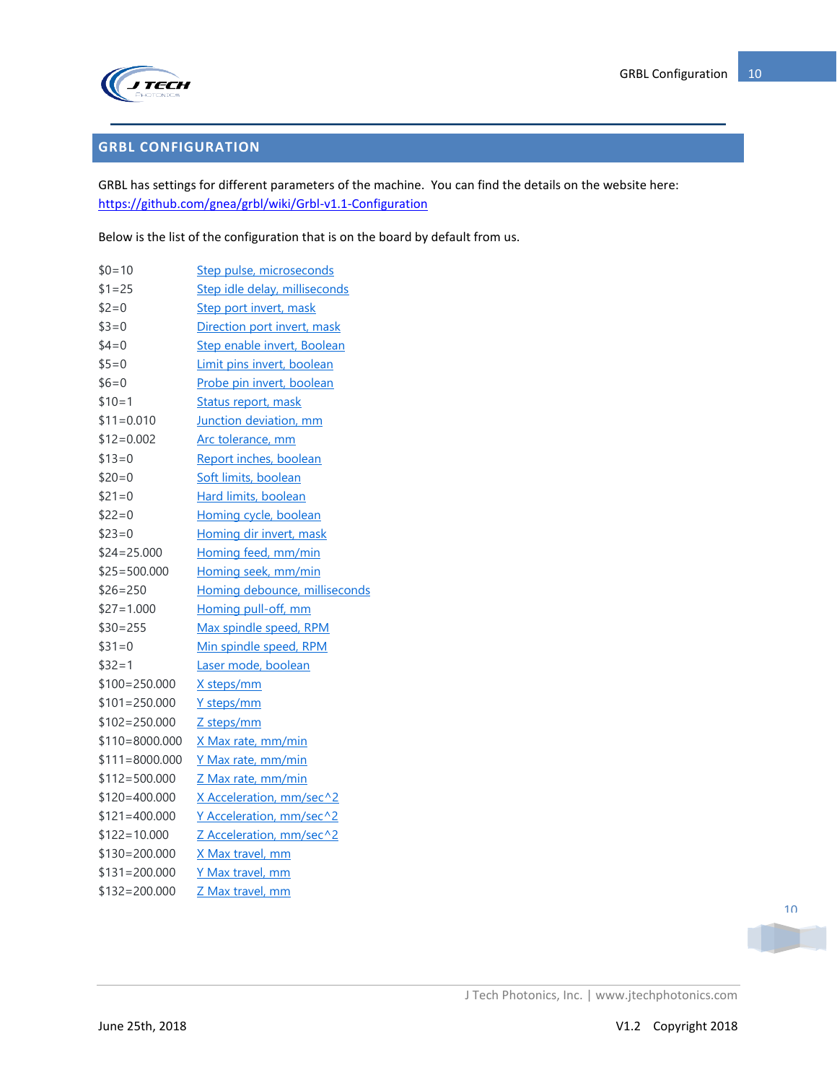

## <span id="page-9-0"></span>**GRBL CONFIGURATION**

GRBL has settings for different parameters of the machine. You can find the details on the website here: <https://github.com/gnea/grbl/wiki/Grbl-v1.1-Configuration>

Below is the list of the configuration that is on the board by default from us.

| $$0=10$           | Step pulse, microseconds      |
|-------------------|-------------------------------|
| $$1 = 25$         | Step idle delay, milliseconds |
| $$2=0$            | Step port invert, mask        |
| $$3=0$            | Direction port invert, mask   |
| $$4=0$            | Step enable invert, Boolean   |
| $$5=0$            | Limit pins invert, boolean    |
| $$6=0$            | Probe pin invert, boolean     |
| $$10=1$           | Status report, mask           |
| $$11=0.010$       | Junction deviation, mm        |
| $$12=0.002$       | Arc tolerance, mm             |
| $$13=0$           | Report inches, boolean        |
| $$20=0$           | Soft limits, boolean          |
| $$21=0$           | Hard limits, boolean          |
| $$22=0$           | Homing cycle, boolean         |
| $$23=0$           | Homing dir invert, mask       |
| $$24 = 25.000$    | Homing feed, mm/min           |
| $$25 = 500.000$   | Homing seek, mm/min           |
| $$26 = 250$       | Homing debounce, milliseconds |
| $$27 = 1.000$     | Homing pull-off, mm           |
| $$30=255$         | Max spindle speed, RPM        |
| $$31=0$           | Min spindle speed, RPM        |
| $$32=1$           | Laser mode, boolean           |
| $$100=250.000$    | X steps/mm                    |
| $$101 = 250.000$  | Y steps/mm                    |
| $$102=250.000$    | Z steps/mm                    |
| $$110 = 8000.000$ | <u>X Max rate, mm/min</u>     |
| $$111 = 8000.000$ | Y Max rate, mm/min            |
| $$112 = 500.000$  | Z Max rate, mm/min            |
| $$120=400.000$    | X Acceleration, mm/sec^2      |
| $$121 = 400.000$  | Y Acceleration, mm/sec^2      |
| $$122=10.000$     | Z Acceleration, mm/sec^2      |
| $$130=200.000$    | X Max travel, mm              |
| $$131 = 200.000$  | Y Max travel, mm              |
| $$132=200.000$    | Z Max travel, mm              |